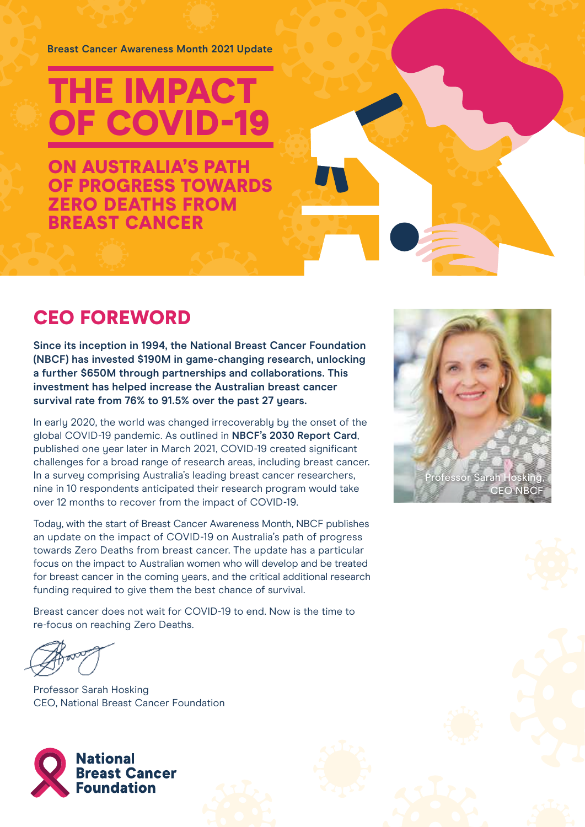**Breast Cancer Awareness Month 2021 Update**

# THE IMPACT OF COVID-19

ON AUSTRALIA'S PATH OF PROGRESS TOWARDS ZERO DEATHS FROM BREAST CANCER

## CEO FOREWORD

**Since its inception in 1994, the National Breast Cancer Foundation (NBCF) has invested \$190M in game-changing research, unlocking a further \$650M through partnerships and collaborations. This investment has helped increase the Australian breast cancer survival rate from 76% to 91.5% over the past 27 years.** 

In early 2020, the world was changed irrecoverably by the onset of the global COVID-19 pandemic. As outlined in **[NBCF's 2030 Report Card](https://nbcf.org.au/about/2030-report-card/)**, published one year later in March 2021, COVID-19 created significant challenges for a broad range of research areas, including breast cancer. In a survey comprising Australia's leading breast cancer researchers, nine in 10 respondents anticipated their research program would take over 12 months to recover from the impact of COVID-19.

Today, with the start of Breast Cancer Awareness Month, NBCF publishes an update on the impact of COVID-19 on Australia's path of progress towards Zero Deaths from breast cancer. The update has a particular focus on the impact to Australian women who will develop and be treated for breast cancer in the coming years, and the critical additional research funding required to give them the best chance of survival.

Breast cancer does not wait for COVID-19 to end. Now is the time to re-focus on reaching Zero Deaths.

Professor Sarah Hosking CEO, National Breast Cancer Foundation



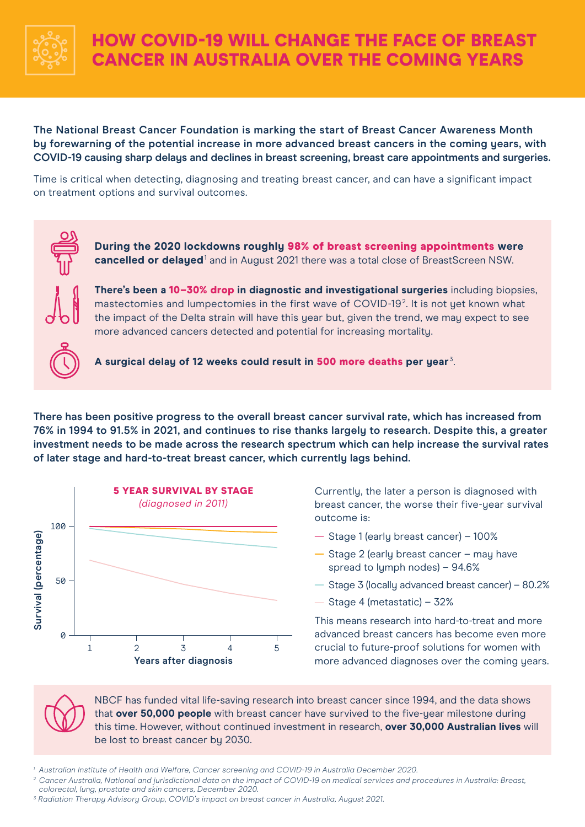

## HOW COVID-19 WILL CHANGE THE FACE OF BREAST CANCER IN AUSTRALIA OVER THE COMING YEARS

#### **The National Breast Cancer Foundation is marking the start of Breast Cancer Awareness Month by forewarning of the potential increase in more advanced breast cancers in the coming years, with COVID-19 causing sharp delays and declines in breast screening, breast care appointments and surgeries.**

Time is critical when detecting, diagnosing and treating breast cancer, and can have a significant impact on treatment options and survival outcomes.



**During the 2020 lockdowns roughly** 98% of breast screening appointments **were**  cancelled or delayed<sup>1</sup> and in August 2021 there was a total close of BreastScreen NSW.

**There's been a** 10–30% drop **in diagnostic and investigational surgeries** including biopsies, mastectomies and lumpectomies in the first wave of COVID-19<sup>2</sup> . It is not yet known what the impact of the Delta strain will have this year but, given the trend, we may expect to see more advanced cancers detected and potential for increasing mortality.



**A surgical delay of 12 weeks could result in** 500 more deaths **per year**<sup>3</sup> .

**There has been positive progress to the overall breast cancer survival rate, which has increased from 76% in 1994 to 91.5% in 2021, and continues to rise thanks largely to research. Despite this, a greater investment needs to be made across the research spectrum which can help increase the survival rates of later stage and hard-to-treat breast cancer, which currently lags behind.**



Currently, the later a person is diagnosed with breast cancer, the worse their five-year survival outcome is:

- $-$  Stage 1 (early breast cancer) 100%
- Stage 2 (early breast cancer may have spread to lymph nodes) – 94.6%
- Stage 3 (locally advanced breast cancer) 80.2%
- Stage 4 (metastatic) 32%

This means research into hard-to-treat and more advanced breast cancers has become even more crucial to future-proof solutions for women with more advanced diagnoses over the coming years.

NBCF has funded vital life-saving research into breast cancer since 1994, and the data shows that **over 50,000 people** with breast cancer have survived to the five-year milestone during this time. However, without continued investment in research, **over 30,000 Australian lives** will be lost to breast cancer by 2030.

*<sup>1</sup> Australian Institute of Health and Welfare, Cancer screening and COVID-19 in Australia December 2020.*

*<sup>2</sup> Cancer Australia, National and jurisdictional data on the impact of COVID-19 on medical services and procedures in Australia: Breast, colorectal, lung, prostate and skin cancers, December 2020.*

*<sup>3</sup> Radiation Therapy Advisory Group, COVID's impact on breast cancer in Australia, August 2021.*